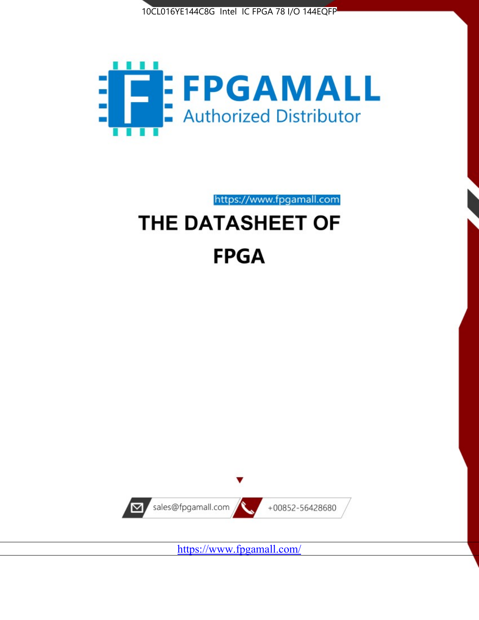



https://www.fpgamall.com THE DATASHEET OF

# **FPGA**



https://www.fpgamall.com/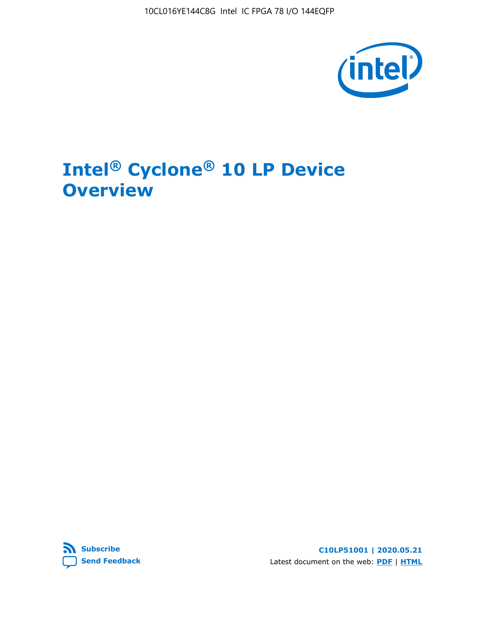10CL016YE144C8G Intel IC FPGA 78 I/O 144EQFP



## **Intel® Cyclone® 10 LP Device Overview**



**C10LP51001 | 2020.05.21** Latest document on the web: **[PDF](https://www.intel.com/content/dam/www/programmable/us/en/pdfs/literature/hb/cyclone-10/c10lp-51001.pdf)** | **[HTML](https://www.intel.com/content/www/us/en/programmable/documentation/hci1490246873896.html)**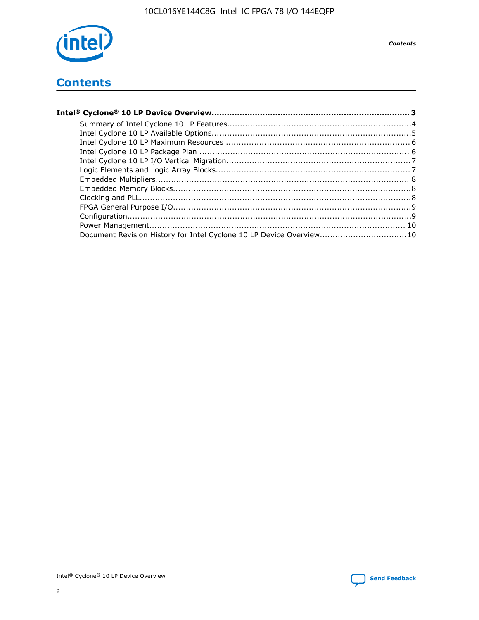

## **Contents**

| Document Revision History for Intel Cyclone 10 LP Device Overview10 |  |
|---------------------------------------------------------------------|--|
|                                                                     |  |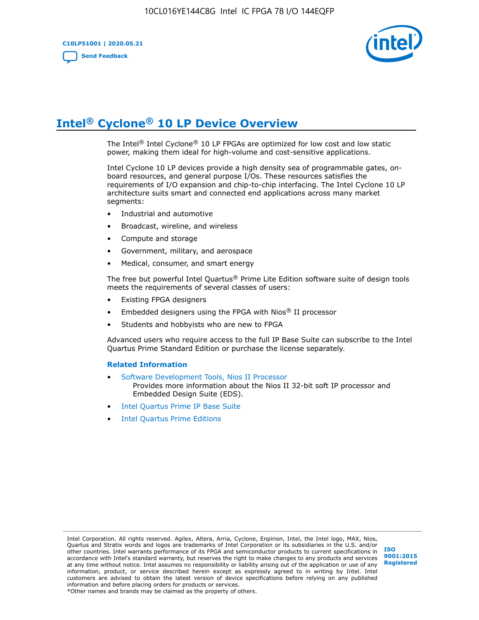

## **Intel® Cyclone® 10 LP Device Overview**

The Intel® Intel Cyclone® 10 LP FPGAs are optimized for low cost and low static power, making them ideal for high-volume and cost-sensitive applications.

Intel Cyclone 10 LP devices provide a high density sea of programmable gates, onboard resources, and general purpose I/Os. These resources satisfies the requirements of I/O expansion and chip-to-chip interfacing. The Intel Cyclone 10 LP architecture suits smart and connected end applications across many market segments:

- Industrial and automotive
- Broadcast, wireline, and wireless
- Compute and storage
- Government, military, and aerospace
- Medical, consumer, and smart energy

The free but powerful Intel Quartus® Prime Lite Edition software suite of design tools meets the requirements of several classes of users:

- Existing FPGA designers
- Embedded designers using the FPGA with Nios® II processor
- Students and hobbyists who are new to FPGA

Advanced users who require access to the full IP Base Suite can subscribe to the Intel Quartus Prime Standard Edition or purchase the license separately.

#### **Related Information**

- [Software Development Tools, Nios II Processor](https://www.altera.com/products/processors/design-tools.html) Provides more information about the Nios II 32-bit soft IP processor and Embedded Design Suite (EDS).
- [Intel Quartus Prime IP Base Suite](https://www.altera.com/products/intellectual-property/design/ip-base-suite.html)
- **[Intel Quartus Prime Editions](https://www.altera.com/products/design-software/fpga-design/quartus-prime/download.html)**

Intel Corporation. All rights reserved. Agilex, Altera, Arria, Cyclone, Enpirion, Intel, the Intel logo, MAX, Nios, Quartus and Stratix words and logos are trademarks of Intel Corporation or its subsidiaries in the U.S. and/or other countries. Intel warrants performance of its FPGA and semiconductor products to current specifications in accordance with Intel's standard warranty, but reserves the right to make changes to any products and services at any time without notice. Intel assumes no responsibility or liability arising out of the application or use of any information, product, or service described herein except as expressly agreed to in writing by Intel. Intel customers are advised to obtain the latest version of device specifications before relying on any published information and before placing orders for products or services. \*Other names and brands may be claimed as the property of others.

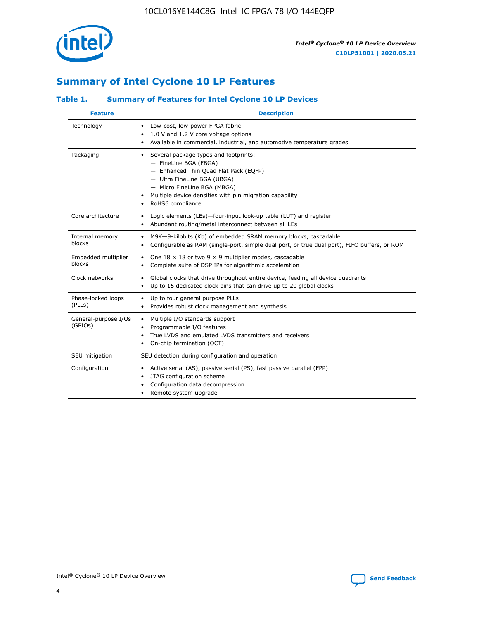

## **Summary of Intel Cyclone 10 LP Features**

#### **Table 1. Summary of Features for Intel Cyclone 10 LP Devices**

| <b>Feature</b>                  | <b>Description</b>                                                                                                                                                                                                                                        |
|---------------------------------|-----------------------------------------------------------------------------------------------------------------------------------------------------------------------------------------------------------------------------------------------------------|
| Technology                      | Low-cost, low-power FPGA fabric<br>٠<br>1.0 V and 1.2 V core voltage options<br>Available in commercial, industrial, and automotive temperature grades                                                                                                    |
| Packaging                       | Several package types and footprints:<br>٠<br>- FineLine BGA (FBGA)<br>- Enhanced Thin Quad Flat Pack (EQFP)<br>- Ultra FineLine BGA (UBGA)<br>- Micro FineLine BGA (MBGA)<br>Multiple device densities with pin migration capability<br>RoHS6 compliance |
| Core architecture               | Logic elements (LEs)-four-input look-up table (LUT) and register<br>٠<br>Abundant routing/metal interconnect between all LEs<br>$\bullet$                                                                                                                 |
| Internal memory<br>blocks       | M9K-9-kilobits (Kb) of embedded SRAM memory blocks, cascadable<br>$\bullet$<br>Configurable as RAM (single-port, simple dual port, or true dual port), FIFO buffers, or ROM<br>$\bullet$                                                                  |
| Embedded multiplier<br>blocks   | One $18 \times 18$ or two 9 $\times$ 9 multiplier modes, cascadable<br>$\bullet$<br>Complete suite of DSP IPs for algorithmic acceleration<br>٠                                                                                                           |
| Clock networks                  | Global clocks that drive throughout entire device, feeding all device quadrants<br>٠<br>Up to 15 dedicated clock pins that can drive up to 20 global clocks                                                                                               |
| Phase-locked loops<br>(PLLs)    | Up to four general purpose PLLs<br>$\bullet$<br>Provides robust clock management and synthesis<br>$\bullet$                                                                                                                                               |
| General-purpose I/Os<br>(GPIOs) | Multiple I/O standards support<br>$\bullet$<br>Programmable I/O features<br>$\bullet$<br>True LVDS and emulated LVDS transmitters and receivers<br>٠<br>On-chip termination (OCT)<br>$\bullet$                                                            |
| SEU mitigation                  | SEU detection during configuration and operation                                                                                                                                                                                                          |
| Configuration                   | Active serial (AS), passive serial (PS), fast passive parallel (FPP)<br>$\bullet$<br>JTAG configuration scheme<br>$\bullet$<br>Configuration data decompression<br>Remote system upgrade<br>$\bullet$                                                     |

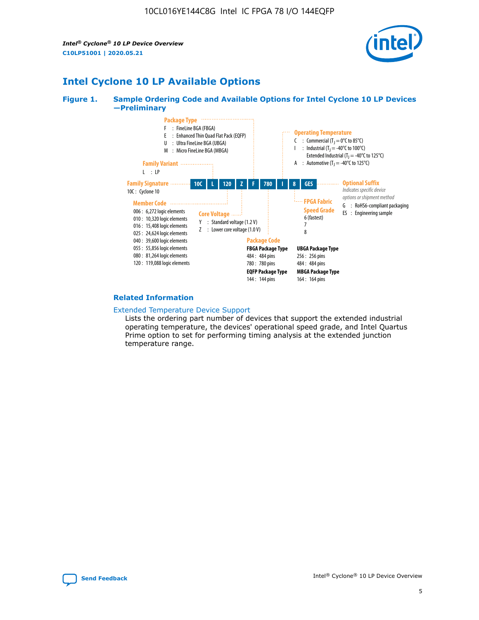*Intel® Cyclone® 10 LP Device Overview* **C10LP51001 | 2020.05.21**



## **Intel Cyclone 10 LP Available Options**

#### **Figure 1. Sample Ordering Code and Available Options for Intel Cyclone 10 LP Devices —Preliminary**



#### **Related Information**

#### [Extended Temperature Device Support](https://www.intel.com/content/www/us/en/products/programmable/temperature.html)

Lists the ordering part number of devices that support the extended industrial operating temperature, the devices' operational speed grade, and Intel Quartus Prime option to set for performing timing analysis at the extended junction temperature range.

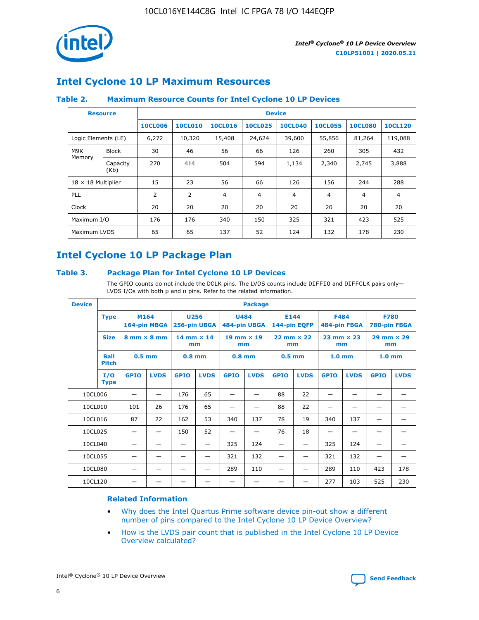

## **Intel Cyclone 10 LP Maximum Resources**

#### **Table 2. Maximum Resource Counts for Intel Cyclone 10 LP Devices**

|                           | <b>Resource</b>  | <b>Device</b>  |                |                |                |                |                |                |                |
|---------------------------|------------------|----------------|----------------|----------------|----------------|----------------|----------------|----------------|----------------|
|                           |                  | <b>10CL006</b> | <b>10CL010</b> | <b>10CL016</b> | <b>10CL025</b> | <b>10CL040</b> | <b>10CL055</b> | <b>10CL080</b> | <b>10CL120</b> |
| Logic Elements (LE)       |                  | 6,272          | 10,320         | 15,408         | 24,624         | 39,600         | 55,856         | 81,264         | 119,088        |
| M9K                       | <b>Block</b>     | 30             | 46             | 56             | 66             | 126            | 260            | 305            | 432            |
| Memory                    | Capacity<br>(Kb) | 270            | 414            | 504            | 594            | 1,134          | 2,340          | 2,745          | 3,888          |
| $18 \times 18$ Multiplier |                  | 15             | 23             | 56             | 66             | 126            | 156            | 244            | 288            |
| <b>PLL</b>                |                  | 2              | 2              | 4              | 4              | $\overline{4}$ | 4              | $\overline{4}$ | 4              |
| Clock                     |                  | 20             | 20             | 20             | 20             | 20             | 20             | 20             | 20             |
| Maximum I/O               |                  | 176            | 176            | 340            | 150            | 325            | 321            | 423            | 525            |
| Maximum LVDS              |                  | 65             | 65             | 137            | 52             | 124            | 132            | 178            | 230            |

## **Intel Cyclone 10 LP Package Plan**

#### **Table 3. Package Plan for Intel Cyclone 10 LP Devices**

The GPIO counts do not include the DCLK pins. The LVDS counts include DIFFIO and DIFFCLK pairs only-LVDS I/Os with both p and n pins. Refer to the related information.

| <b>Device</b> |                                     | <b>Package</b> |                                    |             |                             |                           |                      |             |                     |                           |                             |                           |             |
|---------------|-------------------------------------|----------------|------------------------------------|-------------|-----------------------------|---------------------------|----------------------|-------------|---------------------|---------------------------|-----------------------------|---------------------------|-------------|
|               | M164<br><b>Type</b><br>164-pin MBGA |                | 256-pin UBGA                       | <b>U256</b> | <b>U484</b><br>484-pin UBGA |                           | E144<br>144-pin EQFP |             | <b>F484</b>         | 484-pin FBGA              | <b>F780</b><br>780-pin FBGA |                           |             |
|               | <b>Size</b>                         |                | $8 \text{ mm} \times 8 \text{ mm}$ |             | $14$ mm $\times$ 14<br>mm   | $19$ mm $\times$ 19<br>mm |                      | mm          | $22$ mm $\times$ 22 | $23$ mm $\times$ 23<br>mm |                             | $29$ mm $\times$ 29<br>mm |             |
|               | <b>Ball</b><br><b>Pitch</b>         | $0.5$ mm       |                                    | $0.8$ mm    |                             | $0.8$ mm                  |                      | $0.5$ mm    |                     | 1.0 <sub>mm</sub>         |                             | 1.0 <sub>mm</sub>         |             |
|               | I/O<br><b>Type</b>                  | <b>GPIO</b>    | <b>LVDS</b>                        | <b>GPIO</b> | <b>LVDS</b>                 | <b>GPIO</b>               | <b>LVDS</b>          | <b>GPIO</b> | <b>LVDS</b>         | <b>GPIO</b>               | <b>LVDS</b>                 | <b>GPIO</b>               | <b>LVDS</b> |
| 10CL006       |                                     |                |                                    | 176         | 65                          |                           |                      | 88          | 22                  |                           |                             |                           |             |
| 10CL010       |                                     | 101            | 26                                 | 176         | 65                          |                           |                      | 88          | 22                  |                           |                             |                           |             |
| 10CL016       |                                     | 87             | 22                                 | 162         | 53                          | 340                       | 137                  | 78          | 19                  | 340                       | 137                         |                           |             |
| 10CL025       |                                     | —              | —                                  | 150         | 52                          | —                         |                      | 76          | 18                  | -                         | —                           |                           |             |
| 10CL040       |                                     |                |                                    |             |                             | 325                       | 124                  |             |                     | 325                       | 124                         |                           |             |
| 10CL055       |                                     |                |                                    |             |                             | 321                       | 132                  |             |                     | 321                       | 132                         |                           |             |
| 10CL080       |                                     |                |                                    |             |                             | 289                       | 110                  |             |                     | 289                       | 110                         | 423                       | 178         |
| 10CL120       |                                     |                |                                    |             |                             |                           |                      |             |                     | 277                       | 103                         | 525                       | 230         |

#### **Related Information**

- [Why does the Intel Quartus Prime software device pin-out show a different](https://www.intel.com/content/altera-www/global/en_us/index/support/support-resources/knowledge-base/component/2020/why-does-intel--quartus--device-pinout-pin-count-shows-a-differe0.html) [number of pins compared to the Intel Cyclone 10 LP Device Overview?](https://www.intel.com/content/altera-www/global/en_us/index/support/support-resources/knowledge-base/component/2020/why-does-intel--quartus--device-pinout-pin-count-shows-a-differe0.html)
- [How is the LVDS pair count that is published in the Intel Cyclone 10 LP Device](https://www.intel.com/content/altera-www/global/en_us/index/support/support-resources/knowledge-base/component/2020/how-is-the-lvds-pair-count-in-intel--cyclone--10-device-overview.html) [Overview calculated?](https://www.intel.com/content/altera-www/global/en_us/index/support/support-resources/knowledge-base/component/2020/how-is-the-lvds-pair-count-in-intel--cyclone--10-device-overview.html)



Intel<sup>®</sup> Cyclone<sup>®</sup> 10 LP Device Overview **[Send Feedback](mailto:FPGAtechdocfeedback@intel.com?subject=Feedback%20on%20Intel%20Cyclone%2010%20LP%20Device%20Overview%20(C10LP51001%202020.05.21)&body=We%20appreciate%20your%20feedback.%20In%20your%20comments,%20also%20specify%20the%20page%20number%20or%20paragraph.%20Thank%20you.)** Send Feedback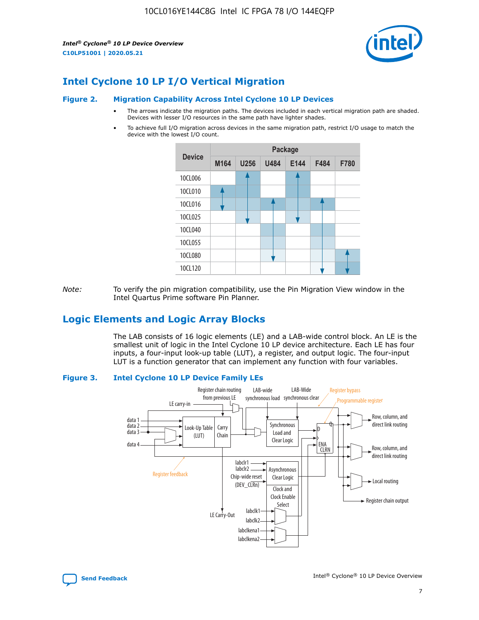*Intel® Cyclone® 10 LP Device Overview* **C10LP51001 | 2020.05.21**



## **Intel Cyclone 10 LP I/O Vertical Migration**

#### **Figure 2. Migration Capability Across Intel Cyclone 10 LP Devices**

- The arrows indicate the migration paths. The devices included in each vertical migration path are shaded. Devices with lesser I/O resources in the same path have lighter shades.
- To achieve full I/O migration across devices in the same migration path, restrict I/O usage to match the device with the lowest I/O count.



*Note:* To verify the pin migration compatibility, use the Pin Migration View window in the Intel Quartus Prime software Pin Planner.

## **Logic Elements and Logic Array Blocks**

The LAB consists of 16 logic elements (LE) and a LAB-wide control block. An LE is the smallest unit of logic in the Intel Cyclone 10 LP device architecture. Each LE has four inputs, a four-input look-up table (LUT), a register, and output logic. The four-input LUT is a function generator that can implement any function with four variables.

#### **Figure 3. Intel Cyclone 10 LP Device Family LEs**



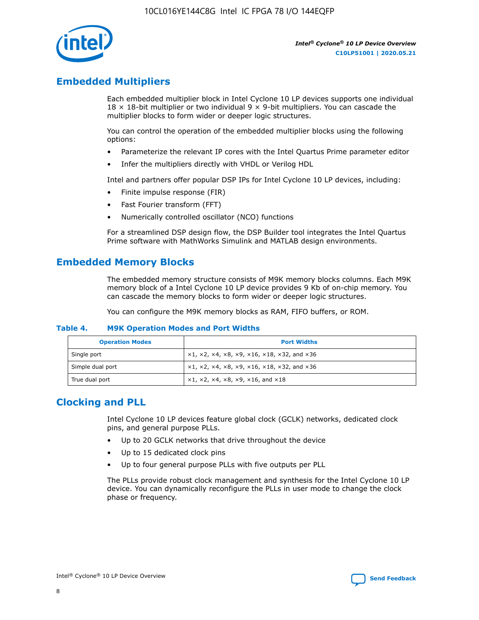

## **Embedded Multipliers**

Each embedded multiplier block in Intel Cyclone 10 LP devices supports one individual  $18 \times 18$ -bit multiplier or two individual 9  $\times$  9-bit multipliers. You can cascade the multiplier blocks to form wider or deeper logic structures.

You can control the operation of the embedded multiplier blocks using the following options:

- Parameterize the relevant IP cores with the Intel Quartus Prime parameter editor
- Infer the multipliers directly with VHDL or Verilog HDL

Intel and partners offer popular DSP IPs for Intel Cyclone 10 LP devices, including:

- Finite impulse response (FIR)
- Fast Fourier transform (FFT)
- Numerically controlled oscillator (NCO) functions

For a streamlined DSP design flow, the DSP Builder tool integrates the Intel Quartus Prime software with MathWorks Simulink and MATLAB design environments.

## **Embedded Memory Blocks**

The embedded memory structure consists of M9K memory blocks columns. Each M9K memory block of a Intel Cyclone 10 LP device provides 9 Kb of on-chip memory. You can cascade the memory blocks to form wider or deeper logic structures.

You can configure the M9K memory blocks as RAM, FIFO buffers, or ROM.

#### **Table 4. M9K Operation Modes and Port Widths**

| <b>Operation Modes</b> | <b>Port Widths</b>                           |
|------------------------|----------------------------------------------|
| Single port            | $x1, x2, x4, x8, x9, x16, x18, x32, and x36$ |
| Simple dual port       | $x1, x2, x4, x8, x9, x16, x18, x32, and x36$ |
| True dual port         | x1, x2, x4, x8, x9, x16, and x18             |

## **Clocking and PLL**

Intel Cyclone 10 LP devices feature global clock (GCLK) networks, dedicated clock pins, and general purpose PLLs.

- Up to 20 GCLK networks that drive throughout the device
- Up to 15 dedicated clock pins
- Up to four general purpose PLLs with five outputs per PLL

The PLLs provide robust clock management and synthesis for the Intel Cyclone 10 LP device. You can dynamically reconfigure the PLLs in user mode to change the clock phase or frequency.

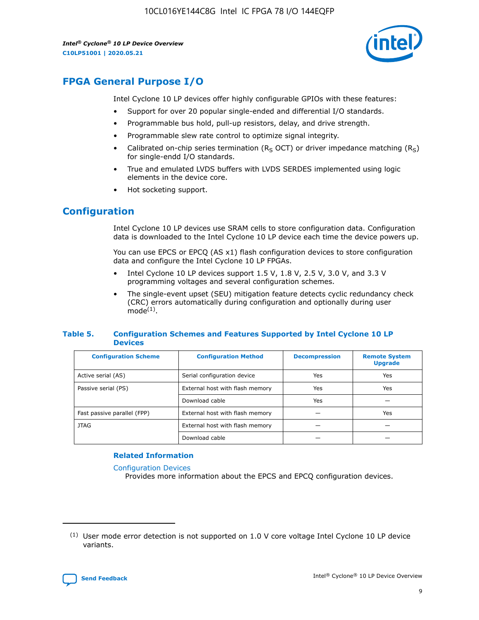*Intel® Cyclone® 10 LP Device Overview* **C10LP51001 | 2020.05.21**



## **FPGA General Purpose I/O**

Intel Cyclone 10 LP devices offer highly configurable GPIOs with these features:

- Support for over 20 popular single-ended and differential I/O standards.
- Programmable bus hold, pull-up resistors, delay, and drive strength.
- Programmable slew rate control to optimize signal integrity.
- Calibrated on-chip series termination ( $R<sub>S</sub>$  OCT) or driver impedance matching ( $R<sub>S</sub>$ ) for single-endd I/O standards.
- True and emulated LVDS buffers with LVDS SERDES implemented using logic elements in the device core.
- Hot socketing support.

## **Configuration**

Intel Cyclone 10 LP devices use SRAM cells to store configuration data. Configuration data is downloaded to the Intel Cyclone 10 LP device each time the device powers up.

You can use EPCS or EPCQ (AS x1) flash configuration devices to store configuration data and configure the Intel Cyclone 10 LP FPGAs.

- Intel Cyclone 10 LP devices support 1.5 V, 1.8 V, 2.5 V, 3.0 V, and 3.3 V programming voltages and several configuration schemes.
- The single-event upset (SEU) mitigation feature detects cyclic redundancy check (CRC) errors automatically during configuration and optionally during user  $mode<sup>(1)</sup>$ .

#### **Table 5. Configuration Schemes and Features Supported by Intel Cyclone 10 LP Devices**

| <b>Configuration Scheme</b> | <b>Configuration Method</b>     | <b>Decompression</b> | <b>Remote System</b><br><b>Upgrade</b> |  |
|-----------------------------|---------------------------------|----------------------|----------------------------------------|--|
| Active serial (AS)          | Serial configuration device     | Yes                  | Yes                                    |  |
| Passive serial (PS)         | External host with flash memory | Yes                  | Yes                                    |  |
|                             | Download cable                  | Yes                  |                                        |  |
| Fast passive parallel (FPP) | External host with flash memory |                      | Yes                                    |  |
| JTAG                        | External host with flash memory |                      |                                        |  |
|                             | Download cable                  |                      |                                        |  |

#### **Related Information**

[Configuration Devices](https://www.altera.com/products/configuration-devices/overview.html)

Provides more information about the EPCS and EPCQ configuration devices.

 $(1)$  User mode error detection is not supported on 1.0 V core voltage Intel Cyclone 10 LP device variants.

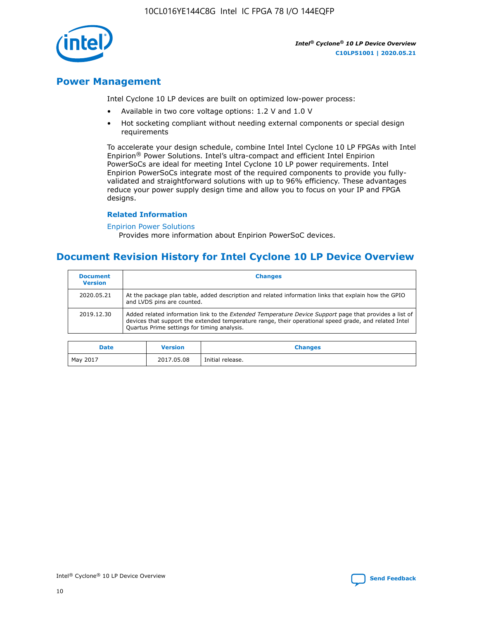

#### **Power Management**

Intel Cyclone 10 LP devices are built on optimized low-power process:

- Available in two core voltage options: 1.2 V and 1.0 V
- Hot socketing compliant without needing external components or special design requirements

To accelerate your design schedule, combine Intel Intel Cyclone 10 LP FPGAs with Intel Enpirion® Power Solutions. Intel's ultra-compact and efficient Intel Enpirion PowerSoCs are ideal for meeting Intel Cyclone 10 LP power requirements. Intel Enpirion PowerSoCs integrate most of the required components to provide you fullyvalidated and straightforward solutions with up to 96% efficiency. These advantages reduce your power supply design time and allow you to focus on your IP and FPGA designs.

#### **Related Information**

#### [Enpirion Power Solutions](https://www.altera.com/products/power/devices.html)

Provides more information about Enpirion PowerSoC devices.

## **Document Revision History for Intel Cyclone 10 LP Device Overview**

| <b>Document</b><br><b>Version</b> | <b>Changes</b>                                                                                                                                                                                                                                                        |
|-----------------------------------|-----------------------------------------------------------------------------------------------------------------------------------------------------------------------------------------------------------------------------------------------------------------------|
| 2020.05.21                        | At the package plan table, added description and related information links that explain how the GPIO<br>and LVDS pins are counted.                                                                                                                                    |
| 2019.12.30                        | Added related information link to the <i>Extended Temperature Device Support</i> page that provides a list of<br>devices that support the extended temperature range, their operational speed grade, and related Intel<br>Quartus Prime settings for timing analysis. |

| <b>Date</b> | <b>Version</b> | <b>Changes</b>   |
|-------------|----------------|------------------|
| May 2017    | 2017.05.08     | Initial release. |